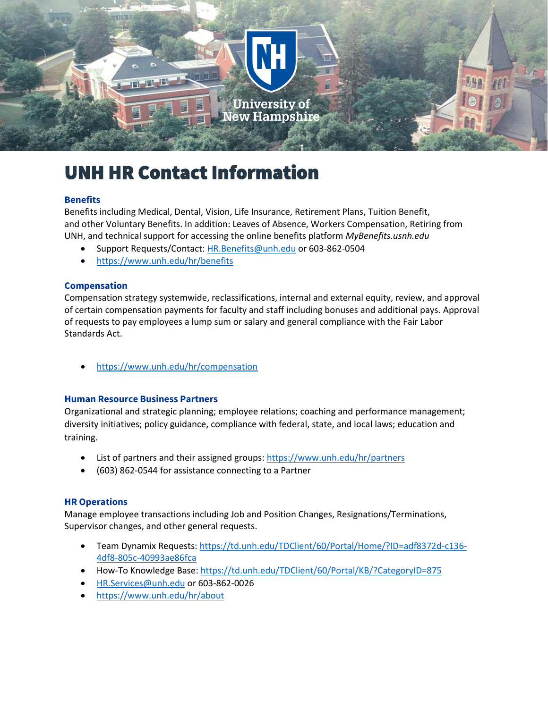

# UNH HR Contact Information

# **Benefits**

Benefits including Medical, Dental, Vision, Life Insurance, Retirement Plans, Tuition Benefit, and other Voluntary Benefits. In addition: Leaves of Absence, Workers Compensation, Retiring from UNH, and technical support for accessing the online benefits platform *MyBenefits.usnh.edu*

- Support Requests/Contact: [HR.Benefits@unh.edu](mailto:HR.Benefits@unh.edu) or 603-862-0504
- <https://www.unh.edu/hr/benefits>

# **Compensation**

Compensation strategy systemwide, reclassifications, internal and external equity, review, and approval of certain compensation payments for faculty and staff including bonuses and additional pays. Approval of requests to pay employees a lump sum or salary and general compliance with the Fair Labor Standards Act.

• <https://www.unh.edu/hr/compensation>

# **Human Resource Business Partners**

Organizational and strategic planning; employee relations; coaching and performance management; diversity initiatives; policy guidance, compliance with federal, state, and local laws; education and training.

- List of partners and their assigned groups:<https://www.unh.edu/hr/partners>
- (603) 862-0544 for assistance connecting to a Partner

# **HR Operations**

Manage employee transactions including Job and Position Changes, Resignations/Terminations, Supervisor changes, and other general requests.

- Team Dynamix Requests: [https://td.unh.edu/TDClient/60/Portal/Home/?ID=adf8372d-c136-](https://td.unh.edu/TDClient/60/Portal/Home/?ID=adf8372d-c136-4df8-805c-40993ae86fca) [4df8-805c-40993ae86fca](https://td.unh.edu/TDClient/60/Portal/Home/?ID=adf8372d-c136-4df8-805c-40993ae86fca)
- How-To Knowledge Base: <https://td.unh.edu/TDClient/60/Portal/KB/?CategoryID=875>
- [HR.Services@unh.edu](mailto:HR.Services@unh.edu) or 603-862-0026
- <https://www.unh.edu/hr/about>